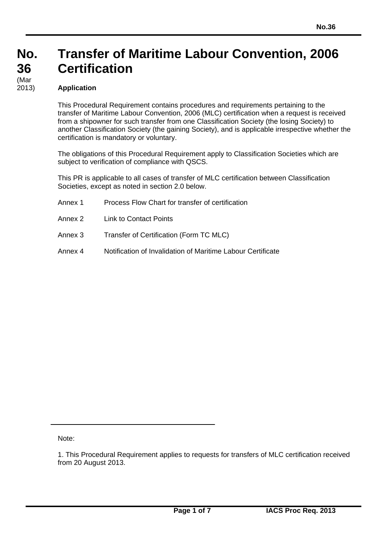## **Transfer of Maritime Labour Convention, 2006 Certification**

#### **Application**

This Procedural Requirement contains procedures and requirements pertaining to the transfer of Maritime Labour Convention, 2006 (MLC) certification when a request is received from a shipowner for such transfer from one Classification Society (the losing Society) to another Classification Society (the gaining Society), and is applicable irrespective whether the certification is mandatory or voluntary.

The obligations of this Procedural Requirement apply to Classification Societies which are subject to verification of compliance with QSCS.

This PR is applicable to all cases of transfer of MLC certification between Classification Societies, except as noted in section 2.0 below.

- Annex 1 Process Flow Chart for transfer of certification Annex 2 Link to Contact Points Annex 3 Transfer of Certification (Form TC MLC)
- Annex 4 Notification of Invalidation of Maritime Labour Certificate

Note:

<sup>1.</sup> This Procedural Requirement applies to requests for transfers of MLC certification received from 20 August 2013.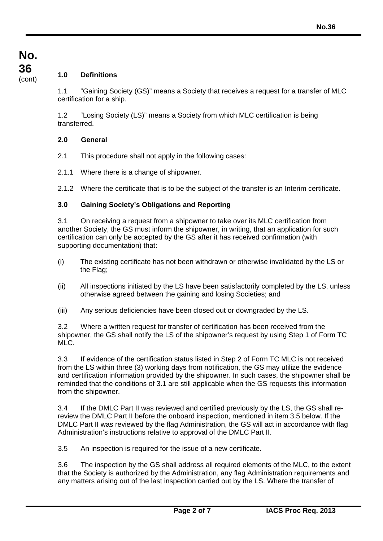# **No. 36**

### (cont) **1.0 Definitions**

1.1 "Gaining Society (GS)" means a Society that receives a request for a transfer of MLC certification for a ship.

1.2 "Losing Society (LS)" means a Society from which MLC certification is being transferred.

#### **2.0 General**

- 2.1 This procedure shall not apply in the following cases:
- 2.1.1 Where there is a change of shipowner.
- 2.1.2 Where the certificate that is to be the subject of the transfer is an Interim certificate.

#### **3.0 Gaining Society's Obligations and Reporting**

3.1 On receiving a request from a shipowner to take over its MLC certification from another Society, the GS must inform the shipowner, in writing, that an application for such certification can only be accepted by the GS after it has received confirmation (with supporting documentation) that:

- (i) The existing certificate has not been withdrawn or otherwise invalidated by the LS or the Flag;
- (ii) All inspections initiated by the LS have been satisfactorily completed by the LS, unless otherwise agreed between the gaining and losing Societies; and
- (iii) Any serious deficiencies have been closed out or downgraded by the LS.

3.2 Where a written request for transfer of certification has been received from the shipowner, the GS shall notify the LS of the shipowner's request by using Step 1 of Form TC MLC.

3.3 If evidence of the certification status listed in Step 2 of Form TC MLC is not received from the LS within three (3) working days from notification, the GS may utilize the evidence and certification information provided by the shipowner. In such cases, the shipowner shall be reminded that the conditions of 3.1 are still applicable when the GS requests this information from the shipowner.

3.4 If the DMLC Part II was reviewed and certified previously by the LS, the GS shall rereview the DMLC Part II before the onboard inspection, mentioned in item 3.5 below. If the DMLC Part II was reviewed by the flag Administration, the GS will act in accordance with flag Administration's instructions relative to approval of the DMLC Part II.

3.5 An inspection is required for the issue of a new certificate.

3.6 The inspection by the GS shall address all required elements of the MLC, to the extent that the Society is authorized by the Administration, any flag Administration requirements and any matters arising out of the last inspection carried out by the LS. Where the transfer of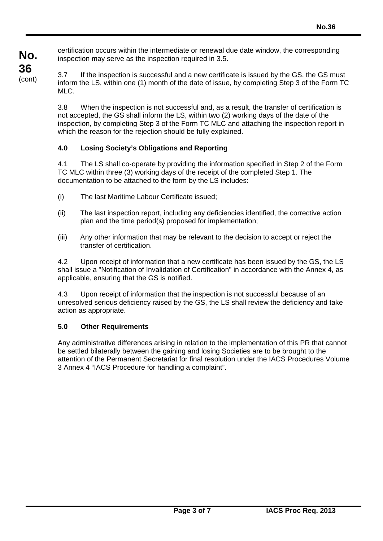**No.** certification occurs within the intermediate or renewal due date window, the corresponding inspection may serve as the inspection required in 3.5.

3.7 If the inspection is successful and a new certificate is issued by the GS, the GS must inform the LS, within one (1) month of the date of issue, by completing Step 3 of the Form TC MLC.

3.8 When the inspection is not successful and, as a result, the transfer of certification is not accepted, the GS shall inform the LS, within two (2) working days of the date of the inspection, by completing Step 3 of the Form TC MLC and attaching the inspection report in which the reason for the rejection should be fully explained.

#### **4.0 Losing Society's Obligations and Reporting**

4.1 The LS shall co-operate by providing the information specified in Step 2 of the Form TC MLC within three (3) working days of the receipt of the completed Step 1. The documentation to be attached to the form by the LS includes:

- (i) The last Maritime Labour Certificate issued;
- (ii) The last inspection report, including any deficiencies identified, the corrective action plan and the time period(s) proposed for implementation;
- (iii) Any other information that may be relevant to the decision to accept or reject the transfer of certification.

4.2 Upon receipt of information that a new certificate has been issued by the GS, the LS shall issue a "Notification of Invalidation of Certification" in accordance with the Annex 4, as applicable, ensuring that the GS is notified.

4.3 Upon receipt of information that the inspection is not successful because of an unresolved serious deficiency raised by the GS, the LS shall review the deficiency and take action as appropriate.

#### **5.0 Other Requirements**

**36** (cont)

> Any administrative differences arising in relation to the implementation of this PR that cannot be settled bilaterally between the gaining and losing Societies are to be brought to the attention of the Permanent Secretariat for final resolution under the IACS Procedures Volume 3 Annex 4 "IACS Procedure for handling a complaint".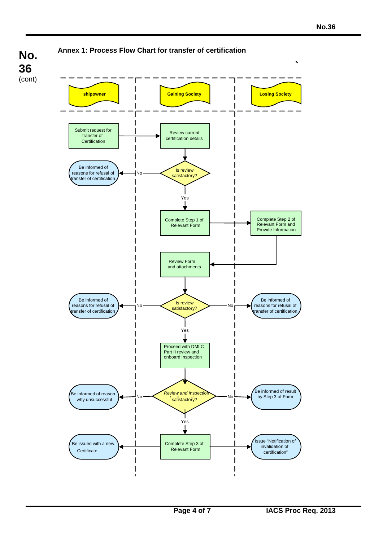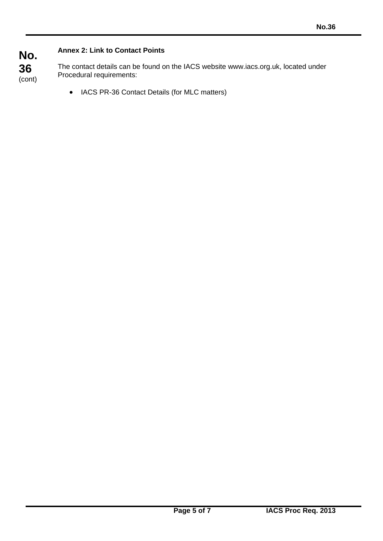#### **Annex 2: Link to Contact Points**

**No.**

**36**

(cont) The contact details can be found on the IACS website www.iacs.org.uk, located under Procedural requirements:

• IACS PR-36 Contact Details (for MLC matters)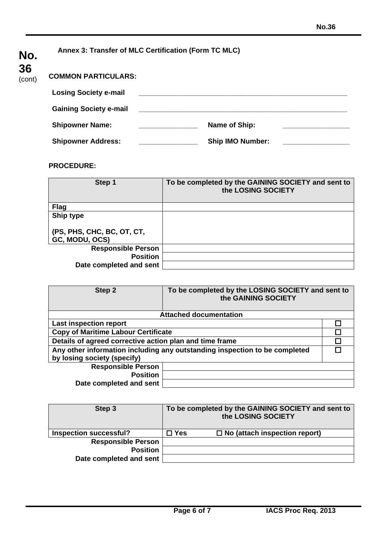| No.         | Annex 3: Transfer of MLC Certification (Form TC MLC) |  |                         |  |
|-------------|------------------------------------------------------|--|-------------------------|--|
| $36$ (cont) | <b>COMMON PARTICULARS:</b>                           |  |                         |  |
|             | <b>Losing Society e-mail</b>                         |  |                         |  |
|             | <b>Gaining Society e-mail</b>                        |  |                         |  |
|             | <b>Shipowner Name:</b>                               |  | Name of Ship:           |  |
|             | <b>Shipowner Address:</b>                            |  | <b>Ship IMO Number:</b> |  |

#### **PROCEDURE:**

| Step 1                                       | To be completed by the GAINING SOCIETY and sent to<br>the LOSING SOCIETY |
|----------------------------------------------|--------------------------------------------------------------------------|
| <b>Flag</b>                                  |                                                                          |
| Ship type                                    |                                                                          |
| (PS, PHS, CHC, BC, OT, CT,<br>GC, MODU, OCS) |                                                                          |
| <b>Responsible Person</b>                    |                                                                          |
| <b>Position</b>                              |                                                                          |
| Date completed and sent                      |                                                                          |

| Step 2                                                  | To be completed by the LOSING SOCIETY and sent to<br>the GAINING SOCIETY   |  |
|---------------------------------------------------------|----------------------------------------------------------------------------|--|
|                                                         | <b>Attached documentation</b>                                              |  |
| <b>Last inspection report</b>                           |                                                                            |  |
| <b>Copy of Maritime Labour Certificate</b>              |                                                                            |  |
| Details of agreed corrective action plan and time frame |                                                                            |  |
|                                                         | Any other information including any outstanding inspection to be completed |  |
| by losing society (specify)                             |                                                                            |  |
| <b>Responsible Person</b>                               |                                                                            |  |
| <b>Position</b>                                         |                                                                            |  |
| Date completed and sent                                 |                                                                            |  |

| Step 3                        |               | To be completed by the GAINING SOCIETY and sent to<br>the LOSING SOCIETY |
|-------------------------------|---------------|--------------------------------------------------------------------------|
| <b>Inspection successful?</b> | $\square$ Yes | $\Box$ No (attach inspection report)                                     |
| <b>Responsible Person</b>     |               |                                                                          |
| <b>Position</b>               |               |                                                                          |
| Date completed and sent       |               |                                                                          |